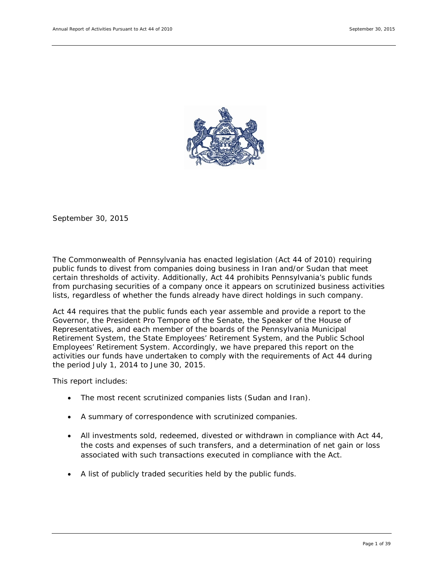

September 30, 2015

The Commonwealth of Pennsylvania has enacted legislation (Act 44 of 2010) requiring public funds to divest from companies doing business in Iran and/or Sudan that meet certain thresholds of activity. Additionally, Act 44 prohibits Pennsylvania's public funds from purchasing securities of a company once it appears on scrutinized business activities lists, regardless of whether the funds already have direct holdings in such company.

Act 44 requires that the public funds each year assemble and provide a report to the Governor, the President Pro Tempore of the Senate, the Speaker of the House of Representatives, and each member of the boards of the Pennsylvania Municipal Retirement System, the State Employees' Retirement System, and the Public School Employees' Retirement System. Accordingly, we have prepared this report on the activities our funds have undertaken to comply with the requirements of Act 44 during the period July 1, 2014 to June 30, 2015.

This report includes:

- The most recent scrutinized companies lists (Sudan and Iran).
- A summary of correspondence with scrutinized companies.
- All investments sold, redeemed, divested or withdrawn in compliance with Act 44, the costs and expenses of such transfers, and a determination of net gain or loss associated with such transactions executed in compliance with the Act.
- A list of publicly traded securities held by the public funds.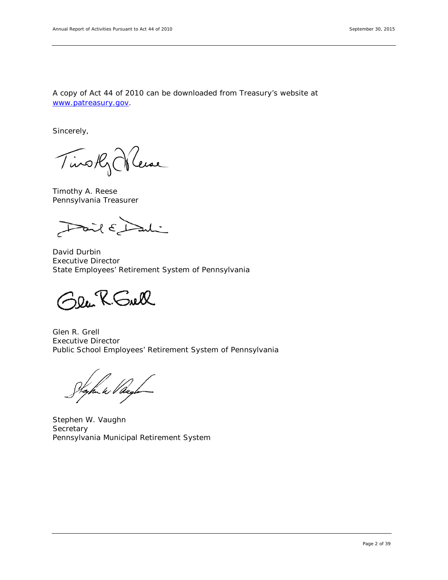A copy of Act 44 of 2010 can be downloaded from Treasury's website at [www.patreasury.gov.](http://www.patreasury.gov/)

Sincerely,

Tinok, Were

Timothy A. Reese Pennsylvania Treasurer

Dail & Dali

David Durbin Executive Director State Employees' Retirement System of Pennsylvania

Gla R Sull

Glen R. Grell Executive Director Public School Employees' Retirement System of Pennsylvania

Aghu h Vdagh

Stephen W. Vaughn **Secretary** Pennsylvania Municipal Retirement System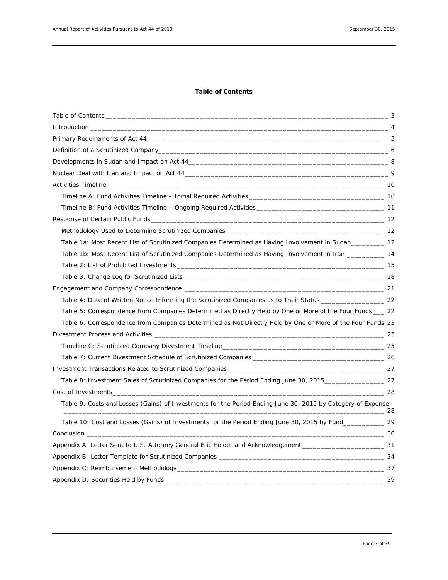#### *Table of Contents*

<span id="page-2-1"></span><span id="page-2-0"></span>

| Table of Contents<br>$\sim$ 3                                                                                    |  |
|------------------------------------------------------------------------------------------------------------------|--|
|                                                                                                                  |  |
| Primary Requirements of Act 44                                                                                   |  |
|                                                                                                                  |  |
|                                                                                                                  |  |
|                                                                                                                  |  |
|                                                                                                                  |  |
|                                                                                                                  |  |
|                                                                                                                  |  |
|                                                                                                                  |  |
|                                                                                                                  |  |
| Table 1a: Most Recent List of Scrutinized Companies Determined as Having Involvement in Sudan__________ 12       |  |
| Table 1b: Most Recent List of Scrutinized Companies Determined as Having Involvement in Iran ___________ 14      |  |
|                                                                                                                  |  |
|                                                                                                                  |  |
|                                                                                                                  |  |
| Table 4: Date of Written Notice Informing the Scrutinized Companies as to Their Status _______________________22 |  |
| Table 5: Correspondence from Companies Determined as Directly Held by One or More of the Four Funds 122          |  |
| Table 6: Correspondence from Companies Determined as Not Directly Held by One or More of the Four Funds 23       |  |
|                                                                                                                  |  |
|                                                                                                                  |  |
|                                                                                                                  |  |
|                                                                                                                  |  |
| Table 8: Investment Sales of Scrutinized Companies for the Period Ending June 30, 2015_______________________27  |  |
|                                                                                                                  |  |
| Table 9: Costs and Losses (Gains) of Investments for the Period Ending June 30, 2015 by Category of Expense      |  |
| Table 10: Cost and Losses (Gains) of Investments for the Period Ending June 30, 2015 by Fund______________ 29    |  |
|                                                                                                                  |  |
| Appendix A: Letter Sent to U.S. Attorney General Eric Holder and Acknowledgement___________________________31    |  |
|                                                                                                                  |  |
|                                                                                                                  |  |
|                                                                                                                  |  |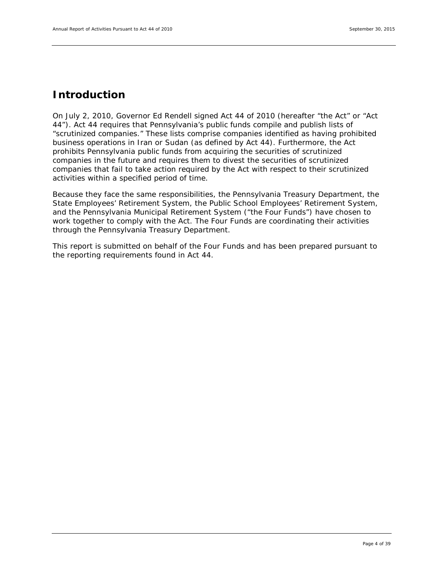## <span id="page-3-0"></span>**Introduction**

On July 2, 2010, Governor Ed Rendell signed Act 44 of 2010 (hereafter "the Act" or "Act 44"). Act 44 requires that Pennsylvania's public funds compile and publish lists of "scrutinized companies." These lists comprise companies identified as having prohibited business operations in Iran or Sudan (as defined by Act 44). Furthermore, the Act prohibits Pennsylvania public funds from acquiring the securities of scrutinized companies in the future and requires them to divest the securities of scrutinized companies that fail to take action required by the Act with respect to their scrutinized activities within a specified period of time.

Because they face the same responsibilities, the Pennsylvania Treasury Department, the State Employees' Retirement System, the Public School Employees' Retirement System, and the Pennsylvania Municipal Retirement System ("the Four Funds") have chosen to work together to comply with the Act. The Four Funds are coordinating their activities through the Pennsylvania Treasury Department.

This report is submitted on behalf of the Four Funds and has been prepared pursuant to the reporting requirements found in Act 44.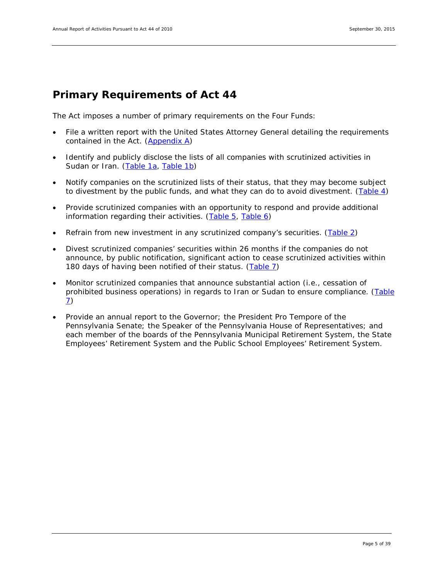## <span id="page-4-0"></span>**Primary Requirements of Act 44**

The Act imposes a number of primary requirements on the Four Funds:

- File a written report with the United States Attorney General detailing the requirements contained in the Act. [\(Appendix A\)](#page-2-1)
- Identify and publicly disclose the lists of all companies with scrutinized activities in Sudan or Iran. [\(Table 1a,](#page-11-2) [Table 1b\)](#page-13-1)
- Notify companies on the scrutinized lists of their status, that they may become subject to divestment by the public funds, and what they can do to avoid divestment. [\(Table 4\)](#page-21-0)
- Provide scrutinized companies with an opportunity to respond and provide additional information regarding their activities. [\(Table 5,](#page-21-2) [Table 6\)](#page-22-0)
- Refrain from new investment in any scrutinized company's securities. [\(Table 2\)](#page-14-1)
- Divest scrutinized companies' securities within 26 months if the companies do not announce, by public notification, significant action to cease scrutinized activities within 180 days of having been notified of their status. [\(Table 7\)](#page-25-0)
- Monitor scrutinized companies that announce substantial action (*i.e.*, cessation of prohibited business operations) in regards to Iran or Sudan to ensure compliance. [\(Table](#page-25-0)  [7\)](#page-25-0)
- Provide an annual report to the Governor; the President Pro Tempore of the Pennsylvania Senate; the Speaker of the Pennsylvania House of Representatives; and each member of the boards of the Pennsylvania Municipal Retirement System, the State Employees' Retirement System and the Public School Employees' Retirement System.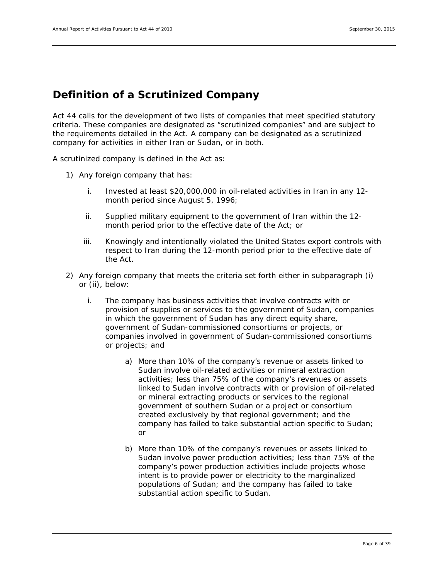# <span id="page-5-0"></span>**Definition of a Scrutinized Company**

Act 44 calls for the development of two lists of companies that meet specified statutory criteria. These companies are designated as "scrutinized companies" and are subject to the requirements detailed in the Act. A company can be designated as a scrutinized company for activities in either Iran or Sudan, or in both.

A scrutinized company is defined in the Act as:

- 1) Any foreign company that has:
	- i. Invested at least \$20,000,000 in oil-related activities in Iran in any 12 month period since August 5, 1996;
	- ii. Supplied military equipment to the government of Iran within the 12 month period prior to the effective date of the Act; or
	- iii. Knowingly and intentionally violated the United States export controls with respect to Iran during the 12-month period prior to the effective date of the Act.
- 2) Any foreign company that meets the criteria set forth either in subparagraph (i) or (ii), below:
	- i. The company has business activities that involve contracts with or provision of supplies or services to the government of Sudan, companies in which the government of Sudan has any direct equity share, government of Sudan-commissioned consortiums or projects, or companies involved in government of Sudan-commissioned consortiums or projects; and
		- a) More than 10% of the company's revenue or assets linked to Sudan involve oil-related activities or mineral extraction activities; less than 75% of the company's revenues or assets linked to Sudan involve contracts with or provision of oil-related or mineral extracting products or services to the regional government of southern Sudan or a project or consortium created exclusively by that regional government; and the company has failed to take substantial action specific to Sudan; or
		- b) More than 10% of the company's revenues or assets linked to Sudan involve power production activities; less than 75% of the company's power production activities include projects whose intent is to provide power or electricity to the marginalized populations of Sudan; and the company has failed to take substantial action specific to Sudan.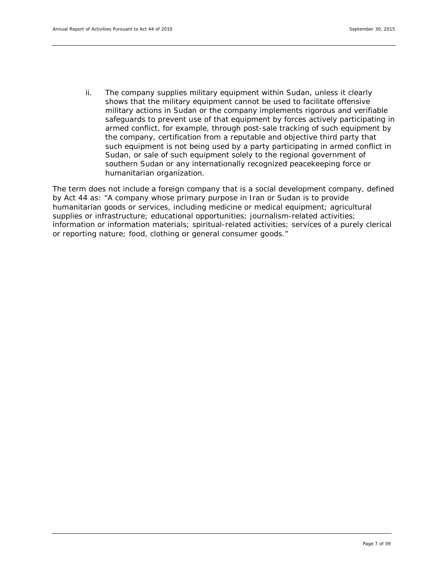ii. The company supplies military equipment within Sudan, unless it clearly shows that the military equipment cannot be used to facilitate offensive military actions in Sudan or the company implements rigorous and verifiable safeguards to prevent use of that equipment by forces actively participating in armed conflict, for example, through post-sale tracking of such equipment by the company, certification from a reputable and objective third party that such equipment is not being used by a party participating in armed conflict in Sudan, or sale of such equipment solely to the regional government of southern Sudan or any internationally recognized peacekeeping force or humanitarian organization.

The term does not include a foreign company that is a social development company, defined by Act 44 as: "A company whose primary purpose in Iran or Sudan is to provide humanitarian goods or services, including medicine or medical equipment; agricultural supplies or infrastructure; educational opportunities; journalism-related activities; information or information materials; spiritual-related activities; services of a purely clerical or reporting nature; food, clothing or general consumer goods."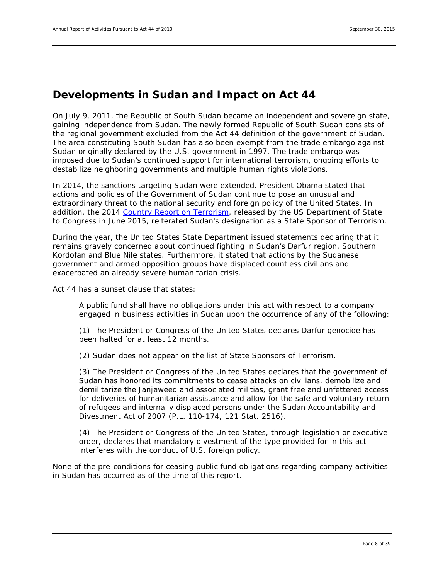## <span id="page-7-0"></span>**Developments in Sudan and Impact on Act 44**

On July 9, 2011, the Republic of South Sudan became an independent and sovereign state, gaining independence from Sudan. The newly formed Republic of South Sudan consists of the regional government excluded from the Act 44 definition of the government of Sudan. The area constituting South Sudan has also been exempt from the trade embargo against Sudan originally declared by the U.S. government in 1997. The trade embargo was imposed due to Sudan's continued support for international terrorism, ongoing efforts to destabilize neighboring governments and multiple human rights violations.

In 2014, the sanctions targeting Sudan were extended. President Obama stated that actions and policies of the Government of Sudan continue to pose an unusual and extraordinary threat to the national security and foreign policy of the United States. In addition, the 2014 [Country Report on Terrorism,](http://www.state.gov/documents/organization/239631.pdf) released by the US Department of State to Congress in June 2015, reiterated Sudan's designation as a State Sponsor of Terrorism.

During the year, the United States State Department issued statements declaring that it remains gravely concerned about continued fighting in Sudan's Darfur region, Southern Kordofan and Blue Nile states. Furthermore, it stated that actions by the Sudanese government and armed opposition groups have displaced countless civilians and exacerbated an already severe humanitarian crisis.

Act 44 has a sunset clause that states:

A public fund shall have no obligations under this act with respect to a company engaged in business activities in Sudan upon the occurrence of any of the following:

(1) The President or Congress of the United States declares Darfur genocide has been halted for at least 12 months.

(2) Sudan does not appear on the list of State Sponsors of Terrorism.

(3) The President or Congress of the United States declares that the government of Sudan has honored its commitments to cease attacks on civilians, demobilize and demilitarize the Janjaweed and associated militias, grant free and unfettered access for deliveries of humanitarian assistance and allow for the safe and voluntary return of refugees and internally displaced persons under the Sudan Accountability and Divestment Act of 2007 (P.L. 110-174, 121 Stat. 2516).

(4) The President or Congress of the United States, through legislation or executive order, declares that mandatory divestment of the type provided for in this act interferes with the conduct of U.S. foreign policy.

None of the pre-conditions for ceasing public fund obligations regarding company activities in Sudan has occurred as of the time of this report.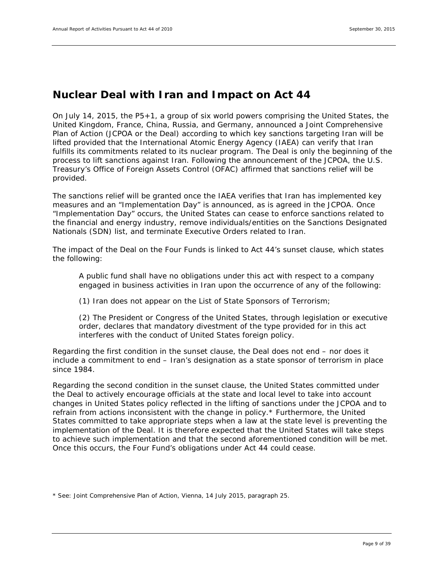## <span id="page-8-0"></span>**Nuclear Deal with Iran and Impact on Act 44**

On July 14, 2015, the P5+1, a group of six world powers comprising the United States, the United Kingdom, France, China, Russia, and Germany, announced a Joint Comprehensive Plan of Action (JCPOA or the Deal) according to which key sanctions targeting Iran will be lifted provided that the International Atomic Energy Agency (IAEA) can verify that Iran fulfills its commitments related to its nuclear program. The Deal is only the beginning of the process to lift sanctions against Iran. Following the announcement of the JCPOA, the U.S. Treasury's Office of Foreign Assets Control (OFAC) affirmed that sanctions relief will be provided.

The sanctions relief will be granted once the IAEA verifies that Iran has implemented key measures and an "Implementation Day" is announced, as is agreed in the JCPOA. Once "Implementation Day" occurs, the United States can cease to enforce sanctions related to the financial and energy industry, remove individuals/entities on the Sanctions Designated Nationals (SDN) list, and terminate Executive Orders related to Iran.

The impact of the Deal on the Four Funds is linked to Act 44's sunset clause, which states the following:

A public fund shall have no obligations under this act with respect to a company engaged in business activities in Iran upon the occurrence of any of the following:

(1) Iran does not appear on the List of State Sponsors of Terrorism;

(2) The President or Congress of the United States, through legislation or executive order, declares that mandatory divestment of the type provided for in this act interferes with the conduct of United States foreign policy.

Regarding the first condition in the sunset clause, the Deal does not end – nor does it include a commitment to end – Iran's designation as a state sponsor of terrorism in place since 1984.

Regarding the second condition in the sunset clause, the United States committed under the Deal to actively encourage officials at the state and local level to take into account changes in United States policy reflected in the lifting of sanctions under the JCPOA and to refrain from actions inconsistent with the change in policy.\* Furthermore, the United States committed to take appropriate steps when a law at the state level is preventing the implementation of the Deal. It is therefore expected that the United States will take steps to achieve such implementation and that the second aforementioned condition will be met. Once this occurs, the Four Fund's obligations under Act 44 could cease.

<sup>\*</sup> See: Joint Comprehensive Plan of Action, Vienna, 14 July 2015, paragraph 25.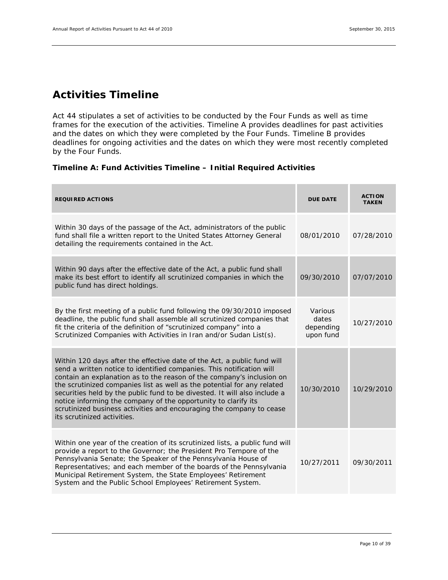# <span id="page-9-0"></span>**Activities Timeline**

Act 44 stipulates a set of activities to be conducted by the Four Funds as well as time frames for the execution of the activities. Timeline A provides deadlines for past activities and the dates on which they were completed by the Four Funds. Timeline B provides deadlines for ongoing activities and the dates on which they were most recently completed by the Four Funds.

### <span id="page-9-1"></span>**Timeline A: Fund Activities Timeline – Initial Required Activities**

| <b>REQUIRED ACTIONS</b>                                                                                                                                                                                                                                                                                                                                                                                                                                                                                                                                    | <b>DUE DATE</b>                            | <b>ACTION</b><br>TAKEN |
|------------------------------------------------------------------------------------------------------------------------------------------------------------------------------------------------------------------------------------------------------------------------------------------------------------------------------------------------------------------------------------------------------------------------------------------------------------------------------------------------------------------------------------------------------------|--------------------------------------------|------------------------|
| Within 30 days of the passage of the Act, administrators of the public<br>fund shall file a written report to the United States Attorney General<br>detailing the requirements contained in the Act.                                                                                                                                                                                                                                                                                                                                                       | 08/01/2010                                 | 07/28/2010             |
| Within 90 days after the effective date of the Act, a public fund shall<br>make its best effort to identify all scrutinized companies in which the<br>public fund has direct holdings.                                                                                                                                                                                                                                                                                                                                                                     | 09/30/2010                                 | 07/07/2010             |
| By the first meeting of a public fund following the 09/30/2010 imposed<br>deadline, the public fund shall assemble all scrutinized companies that<br>fit the criteria of the definition of "scrutinized company" into a<br>Scrutinized Companies with Activities in Iran and/or Sudan List(s).                                                                                                                                                                                                                                                             | Various<br>dates<br>depending<br>upon fund | 10/27/2010             |
| Within 120 days after the effective date of the Act, a public fund will<br>send a written notice to identified companies. This notification will<br>contain an explanation as to the reason of the company's inclusion on<br>the scrutinized companies list as well as the potential for any related<br>securities held by the public fund to be divested. It will also include a<br>notice informing the company of the opportunity to clarify its<br>scrutinized business activities and encouraging the company to cease<br>its scrutinized activities. | 10/30/2010                                 | 10/29/2010             |
| Within one year of the creation of its scrutinized lists, a public fund will<br>provide a report to the Governor; the President Pro Tempore of the<br>Pennsylvania Senate; the Speaker of the Pennsylvania House of<br>Representatives; and each member of the boards of the Pennsylvania<br>Municipal Retirement System, the State Employees' Retirement<br>System and the Public School Employees' Retirement System.                                                                                                                                    | 10/27/2011                                 | 09/30/2011             |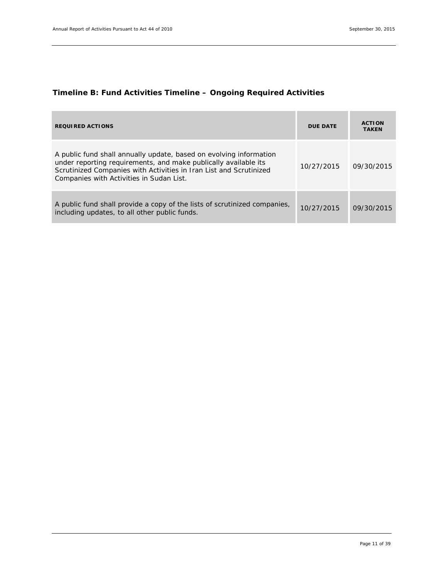### <span id="page-10-0"></span>**Timeline B: Fund Activities Timeline – Ongoing Required Activities**

| <b>REQUIRED ACTIONS</b>                                                                                                                                                                                                                                 | <b>DUE DATE</b> | <b>ACTION</b><br><b>TAKEN</b> |
|---------------------------------------------------------------------------------------------------------------------------------------------------------------------------------------------------------------------------------------------------------|-----------------|-------------------------------|
| A public fund shall annually update, based on evolving information<br>under reporting requirements, and make publically available its<br>Scrutinized Companies with Activities in Iran List and Scrutinized<br>Companies with Activities in Sudan List. | 10/27/2015      | 09/30/2015                    |
| A public fund shall provide a copy of the lists of scrutinized companies,<br>including updates, to all other public funds.                                                                                                                              | 10/27/2015      | 09/30/2015                    |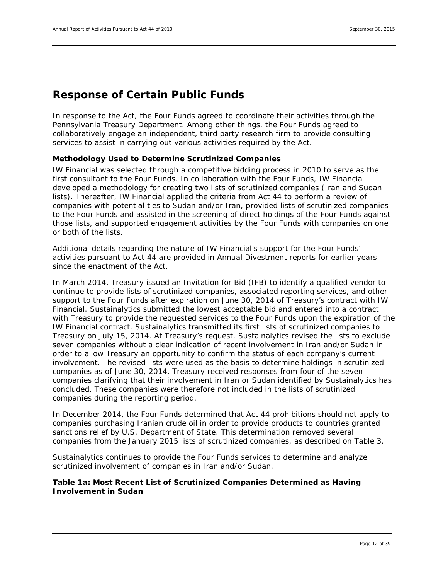## <span id="page-11-0"></span>**Response of Certain Public Funds**

In response to the Act, the Four Funds agreed to coordinate their activities through the Pennsylvania Treasury Department. Among other things, the Four Funds agreed to collaboratively engage an independent, third party research firm to provide consulting services to assist in carrying out various activities required by the Act.

#### <span id="page-11-1"></span>**Methodology Used to Determine Scrutinized Companies**

IW Financial was selected through a competitive bidding process in 2010 to serve as the first consultant to the Four Funds. In collaboration with the Four Funds, IW Financial developed a methodology for creating two lists of scrutinized companies (Iran and Sudan lists). Thereafter, IW Financial applied the criteria from Act 44 to perform a review of companies with potential ties to Sudan and/or Iran, provided lists of scrutinized companies to the Four Funds and assisted in the screening of direct holdings of the Four Funds against those lists, and supported engagement activities by the Four Funds with companies on one or both of the lists.

Additional details regarding the nature of IW Financial's support for the Four Funds' activities pursuant to Act 44 are provided in Annual Divestment reports for earlier years since the enactment of the Act.

In March 2014, Treasury issued an Invitation for Bid (IFB) to identify a qualified vendor to continue to provide lists of scrutinized companies, associated reporting services, and other support to the Four Funds after expiration on June 30, 2014 of Treasury's contract with IW Financial. Sustainalytics submitted the lowest acceptable bid and entered into a contract with Treasury to provide the requested services to the Four Funds upon the expiration of the IW Financial contract. Sustainalytics transmitted its first lists of scrutinized companies to Treasury on July 15, 2014. At Treasury's request, Sustainalytics revised the lists to exclude seven companies without a clear indication of recent involvement in Iran and/or Sudan in order to allow Treasury an opportunity to confirm the status of each company's current involvement. The revised lists were used as the basis to determine holdings in scrutinized companies as of June 30, 2014. Treasury received responses from four of the seven companies clarifying that their involvement in Iran or Sudan identified by Sustainalytics has concluded. These companies were therefore not included in the lists of scrutinized companies during the reporting period.

In December 2014, the Four Funds determined that Act 44 prohibitions should not apply to companies purchasing Iranian crude oil in order to provide products to countries granted sanctions relief by U.S. Department of State. This determination removed several companies from the January 2015 lists of scrutinized companies, as described on Table 3.

Sustainalytics continues to provide the Four Funds services to determine and analyze scrutinized involvement of companies in Iran and/or Sudan.

### <span id="page-11-2"></span>**Table 1a: Most Recent List of Scrutinized Companies Determined as Having Involvement in Sudan**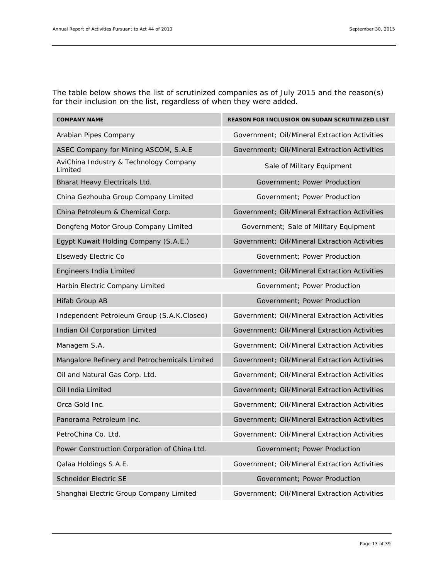The table below shows the list of scrutinized companies as of July 2015 and the reason(s) for their inclusion on the list, regardless of when they were added.

| <b>COMPANY NAME</b>                               | <b>REASON FOR INCLUSION ON SUDAN SCRUTINIZED LIST</b> |
|---------------------------------------------------|-------------------------------------------------------|
| Arabian Pipes Company                             | Government; Oil/Mineral Extraction Activities         |
| ASEC Company for Mining ASCOM, S.A.E              | Government; Oil/Mineral Extraction Activities         |
| AviChina Industry & Technology Company<br>Limited | Sale of Military Equipment                            |
| Bharat Heavy Electricals Ltd.                     | Government; Power Production                          |
| China Gezhouba Group Company Limited              | Government: Power Production                          |
| China Petroleum & Chemical Corp.                  | Government; Oil/Mineral Extraction Activities         |
| Dongfeng Motor Group Company Limited              | Government; Sale of Military Equipment                |
| Egypt Kuwait Holding Company (S.A.E.)             | Government; Oil/Mineral Extraction Activities         |
| <b>Elsewedy Electric Co</b>                       | Government; Power Production                          |
| <b>Engineers India Limited</b>                    | Government; Oil/Mineral Extraction Activities         |
| Harbin Electric Company Limited                   | Government; Power Production                          |
| Hifab Group AB                                    | Government; Power Production                          |
| Independent Petroleum Group (S.A.K.Closed)        | Government; Oil/Mineral Extraction Activities         |
| Indian Oil Corporation Limited                    | Government; Oil/Mineral Extraction Activities         |
| Managem S.A.                                      | Government; Oil/Mineral Extraction Activities         |
| Mangalore Refinery and Petrochemicals Limited     | Government; Oil/Mineral Extraction Activities         |
| Oil and Natural Gas Corp. Ltd.                    | Government; Oil/Mineral Extraction Activities         |
| Oil India Limited                                 | Government; Oil/Mineral Extraction Activities         |
| Orca Gold Inc.                                    | Government; Oil/Mineral Extraction Activities         |
| Panorama Petroleum Inc.                           | Government; Oil/Mineral Extraction Activities         |
| PetroChina Co. Ltd.                               | Government; Oil/Mineral Extraction Activities         |
| Power Construction Corporation of China Ltd.      | Government; Power Production                          |
| Qalaa Holdings S.A.E.                             | Government; Oil/Mineral Extraction Activities         |
| Schneider Electric SE                             | Government; Power Production                          |
| Shanghai Electric Group Company Limited           | Government; Oil/Mineral Extraction Activities         |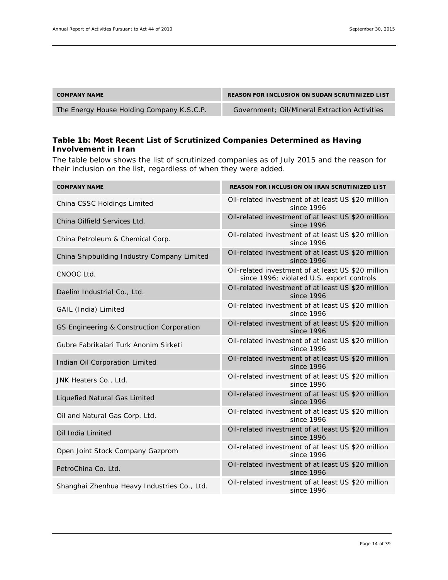| <b>COMPANY NAME</b>                       | <b>REASON FOR INCLUSION ON SUDAN SCRUTINIZED LIST</b> |
|-------------------------------------------|-------------------------------------------------------|
| The Energy House Holding Company K.S.C.P. | Government: Oil/Mineral Extraction Activities         |

### <span id="page-13-1"></span><span id="page-13-0"></span>**Table 1b: Most Recent List of Scrutinized Companies Determined as Having Involvement in Iran**

The table below shows the list of scrutinized companies as of July 2015 and the reason for their inclusion on the list, regardless of when they were added.

| <b>COMPANY NAME</b>                         | <b>REASON FOR INCLUSION ON IRAN SCRUTINIZED LIST</b>                                            |
|---------------------------------------------|-------------------------------------------------------------------------------------------------|
| China CSSC Holdings Limited                 | Oil-related investment of at least US \$20 million<br>since 1996                                |
| China Oilfield Services Ltd.                | Oil-related investment of at least US \$20 million<br>since 1996                                |
| China Petroleum & Chemical Corp.            | Oil-related investment of at least US \$20 million<br>since 1996                                |
| China Shipbuilding Industry Company Limited | Oil-related investment of at least US \$20 million<br>since 1996                                |
| CNOOC Ltd.                                  | Oil-related investment of at least US \$20 million<br>since 1996; violated U.S. export controls |
| Daelim Industrial Co., Ltd.                 | Oil-related investment of at least US \$20 million<br>since 1996                                |
| GAIL (India) Limited                        | Oil-related investment of at least US \$20 million<br>since 1996                                |
| GS Engineering & Construction Corporation   | Oil-related investment of at least US \$20 million<br>since 1996                                |
| Gubre Fabrikalari Turk Anonim Sirketi       | Oil-related investment of at least US \$20 million<br>since 1996                                |
| Indian Oil Corporation Limited              | Oil-related investment of at least US \$20 million<br>since 1996                                |
| JNK Heaters Co., Ltd.                       | Oil-related investment of at least US \$20 million<br>since 1996                                |
| Liquefied Natural Gas Limited               | Oil-related investment of at least US \$20 million<br>since 1996                                |
| Oil and Natural Gas Corp. Ltd.              | Oil-related investment of at least US \$20 million<br>since 1996                                |
| Oil India Limited                           | Oil-related investment of at least US \$20 million<br>since 1996                                |
| Open Joint Stock Company Gazprom            | Oil-related investment of at least US \$20 million<br>since 1996                                |
| PetroChina Co. Ltd.                         | Oil-related investment of at least US \$20 million<br>since 1996                                |
| Shanghai Zhenhua Heavy Industries Co., Ltd. | Oil-related investment of at least US \$20 million<br>since 1996                                |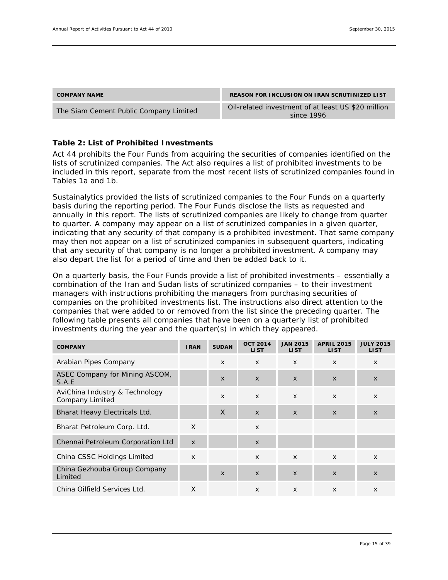| <b>COMPANY NAME</b>                    | <b>REASON FOR INCLUSION ON IRAN SCRUTINIZED LIST</b>             |
|----------------------------------------|------------------------------------------------------------------|
| The Siam Cement Public Company Limited | Oil-related investment of at least US \$20 million<br>since 1996 |

#### <span id="page-14-1"></span><span id="page-14-0"></span>**Table 2: List of Prohibited Investments**

Act 44 prohibits the Four Funds from acquiring the securities of companies identified on the lists of scrutinized companies. The Act also requires a list of prohibited investments to be included in this report, separate from the most recent lists of scrutinized companies found in Tables 1a and 1b.

Sustainalytics provided the lists of scrutinized companies to the Four Funds on a quarterly basis during the reporting period. The Four Funds disclose the lists as requested and annually in this report. The lists of scrutinized companies are likely to change from quarter to quarter. A company may appear on a list of scrutinized companies in a given quarter, indicating that any security of that company is a prohibited investment. That same company may then not appear on a list of scrutinized companies in subsequent quarters, indicating that any security of that company is no longer a prohibited investment. A company may also depart the list for a period of time and then be added back to it.

On a quarterly basis, the Four Funds provide a list of prohibited investments – essentially a combination of the Iran and Sudan lists of scrutinized companies – to their investment managers with instructions prohibiting the managers from purchasing securities of companies on the prohibited investments list. The instructions also direct attention to the companies that were added to or removed from the list since the preceding quarter. The following table presents all companies that have been on a quarterly list of prohibited investments during the year and the quarter(s) in which they appeared.

| <b>COMPANY</b>                                    | <b>IRAN</b>  | <b>SUDAN</b> | <b>OCT 2014</b><br><b>LIST</b> | <b>JAN 2015</b><br><b>LIST</b> | <b>APRIL 2015</b><br><b>LIST</b> | <b>JULY 2015</b><br><b>LIST</b> |
|---------------------------------------------------|--------------|--------------|--------------------------------|--------------------------------|----------------------------------|---------------------------------|
| Arabian Pipes Company                             |              | X            | $\mathsf{x}$                   | $\mathsf{x}$                   | $\mathsf{x}$                     | $\mathsf{x}$                    |
| ASEC Company for Mining ASCOM,<br>S.A.E           |              | $\mathsf{x}$ | $\boldsymbol{\mathsf{x}}$      | $\mathsf{x}$                   | $\mathsf{x}$                     | $\mathsf{x}$                    |
| AviChina Industry & Technology<br>Company Limited |              | X            | $\mathsf{x}$                   | $\mathsf{x}$                   | $\mathsf{x}$                     | $\boldsymbol{\mathsf{x}}$       |
| Bharat Heavy Electricals Ltd.                     |              | X            | $\mathsf{x}$                   | $\mathsf{x}$                   | $\mathsf{x}$                     | $\mathsf{x}$                    |
| Bharat Petroleum Corp. Ltd.                       | $\times$     |              | $\mathsf{x}$                   |                                |                                  |                                 |
| Chennai Petroleum Corporation Ltd                 | $\mathsf{x}$ |              | $\mathsf{x}$                   |                                |                                  |                                 |
| China CSSC Holdings Limited                       | $\mathsf{x}$ |              | $\mathsf{x}$                   | $\mathsf{x}$                   | $\mathsf{x}$                     | $\mathsf{x}$                    |
| China Gezhouba Group Company<br>Limited           |              | $\mathsf{x}$ | $\mathsf{x}$                   | $\mathsf{x}$                   | $\mathsf{x}$                     | $\mathsf{x}$                    |
| China Oilfield Services Ltd.                      | X            |              | X                              | $\boldsymbol{\mathsf{x}}$      | $\boldsymbol{\mathsf{x}}$        | X                               |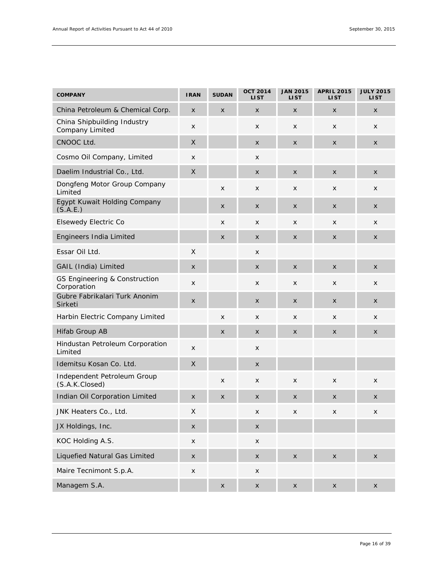| <b>COMPANY</b>                                        | <b>IRAN</b>        | <b>SUDAN</b> | <b>OCT 2014</b><br><b>LIST</b> | <b>JAN 2015</b><br><b>LIST</b> | <b>APRIL 2015</b><br><b>LIST</b> | <b>JULY 2015</b><br><b>LIST</b> |
|-------------------------------------------------------|--------------------|--------------|--------------------------------|--------------------------------|----------------------------------|---------------------------------|
| China Petroleum & Chemical Corp.                      | X                  | X            | X                              | X                              | X                                | X                               |
| China Shipbuilding Industry<br><b>Company Limited</b> | X                  |              | X                              | X                              | X                                | X                               |
| CNOOC Ltd.                                            | $\mathsf X$        |              | X                              | X                              | X                                | X                               |
| Cosmo Oil Company, Limited                            | X                  |              | x                              |                                |                                  |                                 |
| Daelim Industrial Co., Ltd.                           | X                  |              | X                              | X                              | X                                | X                               |
| Dongfeng Motor Group Company<br>Limited               |                    | X            | X                              | X                              | X                                | X                               |
| Egypt Kuwait Holding Company<br>(S.A.E.)              |                    | X            | X                              | X                              | X                                | X                               |
| <b>Elsewedy Electric Co</b>                           |                    | X            | X                              | X                              | X                                | X                               |
| <b>Engineers India Limited</b>                        |                    | X            | X                              | X                              | X                                | X                               |
| Essar Oil Ltd.                                        | X                  |              | X                              |                                |                                  |                                 |
| GAIL (India) Limited                                  | X                  |              | X                              | X                              | X                                | X                               |
| GS Engineering & Construction<br>Corporation          | X                  |              | X                              | X                              | X                                | X                               |
| Gubre Fabrikalari Turk Anonim<br>Sirketi              | X                  |              | X                              | X                              | X                                | X                               |
| Harbin Electric Company Limited                       |                    | X            | X                              | X                              | X                                | X                               |
| Hifab Group AB                                        |                    | X            | X                              | X                              | X                                | X                               |
| Hindustan Petroleum Corporation<br>Limited            | X                  |              | X                              |                                |                                  |                                 |
| Idemitsu Kosan Co. Ltd.                               | $\sf X$            |              | X                              |                                |                                  |                                 |
| Independent Petroleum Group<br>(S.A.K.Closed)         |                    | X            | X                              | X                              | X                                | X                               |
| Indian Oil Corporation Limited                        | X                  | X            | X                              | X                              | X                                | X                               |
| JNK Heaters Co., Ltd.                                 | X                  |              | X                              | X                              | X                                | X                               |
| JX Holdings, Inc.                                     | $\pmb{\times}$     |              | $\pmb{\times}$                 |                                |                                  |                                 |
| KOC Holding A.S.                                      | $\pmb{\times}$     |              | $\mathsf X$                    |                                |                                  |                                 |
| Liquefied Natural Gas Limited                         | $\pmb{\mathsf{X}}$ |              | $\pmb{\mathsf{X}}$             | $\boldsymbol{\mathsf{X}}$      | $\boldsymbol{\mathsf{X}}$        | $\pmb{\times}$                  |
| Maire Tecnimont S.p.A.                                | $\pmb{\times}$     |              | $\mathsf X$                    |                                |                                  |                                 |
| Managem S.A.                                          |                    | $\mathsf X$  | $\boldsymbol{\mathsf{X}}$      | $\mathsf X$                    | $\mathsf X$                      | $\pmb{\times}$                  |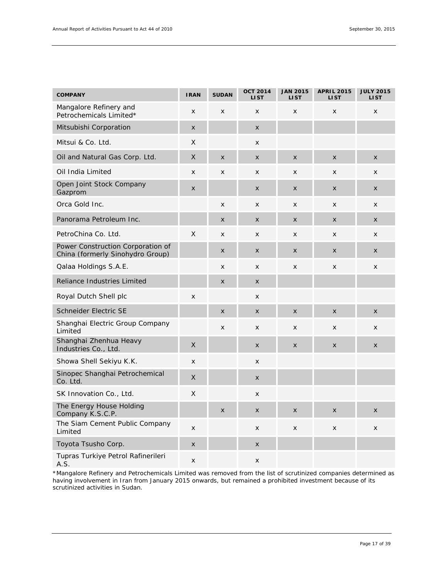| <b>COMPANY</b>                                                        | <b>IRAN</b>  | <b>SUDAN</b>   | <b>OCT 2014</b><br><b>LIST</b> | <b>JAN 2015</b><br><b>LIST</b> | <b>APRIL 2015</b><br><b>LIST</b> | <b>JULY 2015</b><br><b>LIST</b> |
|-----------------------------------------------------------------------|--------------|----------------|--------------------------------|--------------------------------|----------------------------------|---------------------------------|
| Mangalore Refinery and<br>Petrochemicals Limited*                     | X            | $\pmb{\times}$ | X                              | X                              | $\pmb{\times}$                   | X                               |
| Mitsubishi Corporation                                                | X            |                | X                              |                                |                                  |                                 |
| Mitsui & Co. Ltd.                                                     | X            |                | X                              |                                |                                  |                                 |
| Oil and Natural Gas Corp. Ltd.                                        | Χ            | X              | X                              | X                              | $\pmb{\times}$                   | X                               |
| Oil India Limited                                                     | X            | X              | X                              | X                              | X                                | X                               |
| Open Joint Stock Company<br>Gazprom                                   | X            |                | X                              | X                              | X                                | X                               |
| Orca Gold Inc.                                                        |              | X              | X                              | X                              | $\mathsf{x}$                     | X                               |
| Panorama Petroleum Inc.                                               |              | X              | X                              | X                              | $\pmb{\times}$                   | X                               |
| PetroChina Co. Ltd.                                                   | X            | X              | X                              | X                              | X                                | X                               |
| Power Construction Corporation of<br>China (formerly Sinohydro Group) |              | X              | X                              | X                              | X                                | X                               |
| Qalaa Holdings S.A.E.                                                 |              | x              | X                              | x                              | X                                | X                               |
| <b>Reliance Industries Limited</b>                                    |              | x              | X                              |                                |                                  |                                 |
| Royal Dutch Shell plc                                                 | X            |                | X                              |                                |                                  |                                 |
| Schneider Electric SE                                                 |              | X              | X                              | X                              | $\mathsf{x}$                     | $\mathsf{x}$                    |
| Shanghai Electric Group Company<br>Limited                            |              | X              | X                              | x                              | X                                | X                               |
| Shanghai Zhenhua Heavy<br>Industries Co., Ltd.                        | $\mathsf{X}$ |                | X                              | X                              | X                                | X                               |
| Showa Shell Sekiyu K.K.                                               | X            |                | X                              |                                |                                  |                                 |
| Sinopec Shanghai Petrochemical<br>Co. Ltd.                            | $\mathsf{X}$ |                | X                              |                                |                                  |                                 |
| SK Innovation Co., Ltd.                                               | X            |                | X                              |                                |                                  |                                 |
| The Energy House Holding<br>Company K.S.C.P.                          |              | X              | X                              | X                              | X                                | X                               |
| The Siam Cement Public Company<br>Limited                             | X            |                | X                              | X                              | X                                | X                               |
| Toyota Tsusho Corp.                                                   | X            |                | X                              |                                |                                  |                                 |
| Tupras Turkiye Petrol Rafinerileri<br>A.S.                            | X            |                | X                              |                                |                                  |                                 |

\*Mangalore Refinery and Petrochemicals Limited was removed from the list of scrutinized companies determined as having involvement in Iran from January 2015 onwards, but remained a prohibited investment because of its scrutinized activities in Sudan.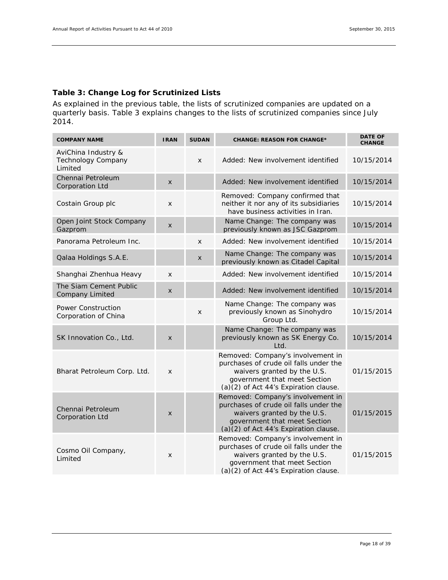### <span id="page-17-0"></span>**Table 3: Change Log for Scrutinized Lists**

As explained in the previous table, the lists of scrutinized companies are updated on a quarterly basis. Table 3 explains changes to the lists of scrutinized companies since July 2014.

| <b>COMPANY NAME</b>                                         | <b>IRAN</b>    | <b>SUDAN</b> | <b>CHANGE: REASON FOR CHANGE*</b>                                                                                                                                                   | <b>DATE OF</b><br><b>CHANGE</b> |
|-------------------------------------------------------------|----------------|--------------|-------------------------------------------------------------------------------------------------------------------------------------------------------------------------------------|---------------------------------|
| AviChina Industry &<br><b>Technology Company</b><br>Limited |                | X            | Added: New involvement identified                                                                                                                                                   | 10/15/2014                      |
| Chennai Petroleum<br><b>Corporation Ltd</b>                 | $\mathsf{x}$   |              | Added: New involvement identified                                                                                                                                                   | 10/15/2014                      |
| Costain Group plc                                           | X              |              | Removed: Company confirmed that<br>neither it nor any of its subsidiaries<br>have business activities in Iran.                                                                      | 10/15/2014                      |
| Open Joint Stock Company<br>Gazprom                         | $\pmb{\times}$ |              | Name Change: The company was<br>previously known as JSC Gazprom                                                                                                                     | 10/15/2014                      |
| Panorama Petroleum Inc.                                     |                | X            | Added: New involvement identified                                                                                                                                                   | 10/15/2014                      |
| Qalaa Holdings S.A.E.                                       |                | X            | Name Change: The company was<br>previously known as Citadel Capital                                                                                                                 | 10/15/2014                      |
| Shanghai Zhenhua Heavy                                      | X              |              | Added: New involvement identified                                                                                                                                                   | 10/15/2014                      |
| The Siam Cement Public<br><b>Company Limited</b>            | X              |              | Added: New involvement identified                                                                                                                                                   | 10/15/2014                      |
| <b>Power Construction</b><br>Corporation of China           |                | X            | Name Change: The company was<br>previously known as Sinohydro<br>Group Ltd.                                                                                                         | 10/15/2014                      |
| SK Innovation Co., Ltd.                                     | $\pmb{\times}$ |              | Name Change: The company was<br>previously known as SK Energy Co.<br>Ltd.                                                                                                           | 10/15/2014                      |
| Bharat Petroleum Corp. Ltd.                                 | X              |              | Removed: Company's involvement in<br>purchases of crude oil falls under the<br>waivers granted by the U.S.<br>government that meet Section<br>(a)(2) of Act 44's Expiration clause. | 01/15/2015                      |
| Chennai Petroleum<br><b>Corporation Ltd</b>                 | $\pmb{\times}$ |              | Removed: Company's involvement in<br>purchases of crude oil falls under the<br>waivers granted by the U.S.<br>government that meet Section<br>(a)(2) of Act 44's Expiration clause. | 01/15/2015                      |
| Cosmo Oil Company,<br>Limited                               | X              |              | Removed: Company's involvement in<br>purchases of crude oil falls under the<br>waivers granted by the U.S.<br>government that meet Section<br>(a)(2) of Act 44's Expiration clause. | 01/15/2015                      |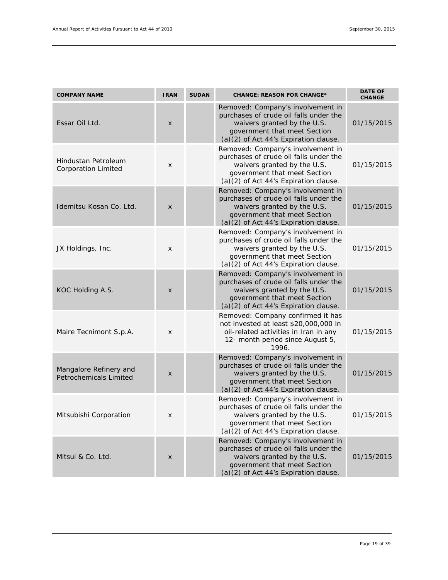| <b>COMPANY NAME</b>                                     | <b>IRAN</b>    | <b>SUDAN</b> | <b>CHANGE: REASON FOR CHANGE*</b>                                                                                                                                                   | <b>DATE OF</b><br><b>CHANGE</b> |
|---------------------------------------------------------|----------------|--------------|-------------------------------------------------------------------------------------------------------------------------------------------------------------------------------------|---------------------------------|
| Essar Oil Ltd.                                          | $\pmb{\times}$ |              | Removed: Company's involvement in<br>purchases of crude oil falls under the<br>waivers granted by the U.S.<br>government that meet Section<br>(a)(2) of Act 44's Expiration clause. | 01/15/2015                      |
| Hindustan Petroleum<br><b>Corporation Limited</b>       | X              |              | Removed: Company's involvement in<br>purchases of crude oil falls under the<br>waivers granted by the U.S.<br>government that meet Section<br>(a)(2) of Act 44's Expiration clause. | 01/15/2015                      |
| Idemitsu Kosan Co. Ltd.                                 | $\pmb{\times}$ |              | Removed: Company's involvement in<br>purchases of crude oil falls under the<br>waivers granted by the U.S.<br>government that meet Section<br>(a)(2) of Act 44's Expiration clause. | 01/15/2015                      |
| JX Holdings, Inc.                                       | X              |              | Removed: Company's involvement in<br>purchases of crude oil falls under the<br>waivers granted by the U.S.<br>government that meet Section<br>(a)(2) of Act 44's Expiration clause. | 01/15/2015                      |
| KOC Holding A.S.                                        | $\pmb{\times}$ |              | Removed: Company's involvement in<br>purchases of crude oil falls under the<br>waivers granted by the U.S.<br>government that meet Section<br>(a)(2) of Act 44's Expiration clause. | 01/15/2015                      |
| Maire Tecnimont S.p.A.                                  | X              |              | Removed: Company confirmed it has<br>not invested at least \$20,000,000 in<br>oil-related activities in Iran in any<br>12- month period since August 5,<br>1996.                    | 01/15/2015                      |
| Mangalore Refinery and<br><b>Petrochemicals Limited</b> | $\pmb{\times}$ |              | Removed: Company's involvement in<br>purchases of crude oil falls under the<br>waivers granted by the U.S.<br>government that meet Section<br>(a)(2) of Act 44's Expiration clause. | 01/15/2015                      |
| Mitsubishi Corporation                                  | х              |              | Removed: Company's involvement in<br>purchases of crude oil falls under the<br>waivers granted by the U.S.<br>government that meet Section<br>(a)(2) of Act 44's Expiration clause. | 01/15/2015                      |
| Mitsui & Co. Ltd.                                       | X              |              | Removed: Company's involvement in<br>purchases of crude oil falls under the<br>waivers granted by the U.S.<br>government that meet Section<br>(a)(2) of Act 44's Expiration clause. | 01/15/2015                      |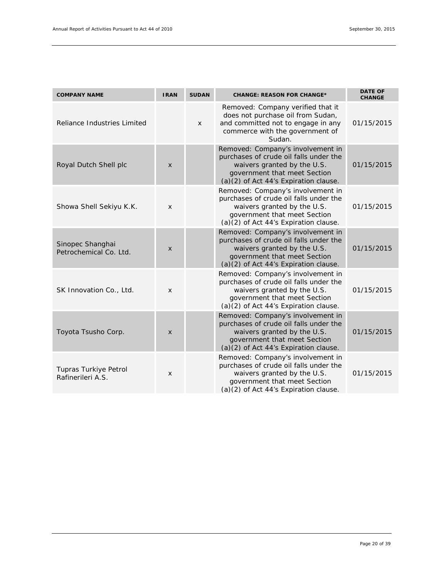| <b>COMPANY NAME</b>                        | <b>IRAN</b>    | <b>SUDAN</b> | <b>CHANGE: REASON FOR CHANGE*</b>                                                                                                                                                   | <b>DATE OF</b><br><b>CHANGE</b> |
|--------------------------------------------|----------------|--------------|-------------------------------------------------------------------------------------------------------------------------------------------------------------------------------------|---------------------------------|
| Reliance Industries Limited                |                | $\mathsf{x}$ | Removed: Company verified that it<br>does not purchase oil from Sudan,<br>and committed not to engage in any<br>commerce with the government of<br>Sudan.                           | 01/15/2015                      |
| Royal Dutch Shell plc                      | $\pmb{\times}$ |              | Removed: Company's involvement in<br>purchases of crude oil falls under the<br>waivers granted by the U.S.<br>government that meet Section<br>(a)(2) of Act 44's Expiration clause. | 01/15/2015                      |
| Showa Shell Sekiyu K.K.                    | x              |              | Removed: Company's involvement in<br>purchases of crude oil falls under the<br>waivers granted by the U.S.<br>government that meet Section<br>(a)(2) of Act 44's Expiration clause. | 01/15/2015                      |
| Sinopec Shanghai<br>Petrochemical Co. Ltd. | X              |              | Removed: Company's involvement in<br>purchases of crude oil falls under the<br>waivers granted by the U.S.<br>government that meet Section<br>(a)(2) of Act 44's Expiration clause. | 01/15/2015                      |
| SK Innovation Co., Ltd.                    | $\mathsf{x}$   |              | Removed: Company's involvement in<br>purchases of crude oil falls under the<br>waivers granted by the U.S.<br>government that meet Section<br>(a)(2) of Act 44's Expiration clause. | 01/15/2015                      |
| Toyota Tsusho Corp.                        | $\mathsf{x}$   |              | Removed: Company's involvement in<br>purchases of crude oil falls under the<br>waivers granted by the U.S.<br>government that meet Section<br>(a)(2) of Act 44's Expiration clause. | 01/15/2015                      |
| Tupras Turkiye Petrol<br>Rafinerileri A.S. | $\mathsf{x}$   |              | Removed: Company's involvement in<br>purchases of crude oil falls under the<br>waivers granted by the U.S.<br>government that meet Section<br>(a)(2) of Act 44's Expiration clause. | 01/15/2015                      |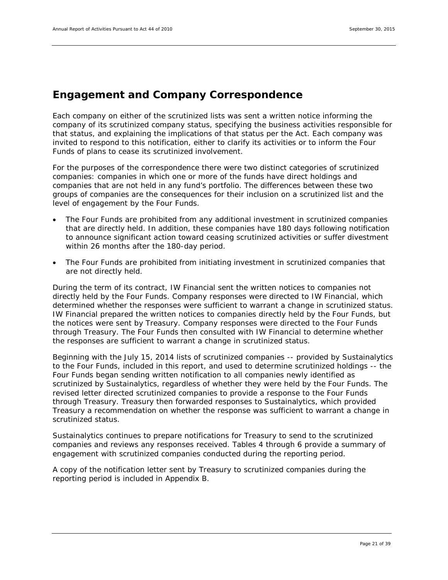## <span id="page-20-0"></span>**Engagement and Company Correspondence**

Each company on either of the scrutinized lists was sent a written notice informing the company of its scrutinized company status, specifying the business activities responsible for that status, and explaining the implications of that status per the Act. Each company was invited to respond to this notification, either to clarify its activities or to inform the Four Funds of plans to cease its scrutinized involvement.

For the purposes of the correspondence there were two distinct categories of scrutinized companies: companies in which one or more of the funds have direct holdings and companies that are not held in any fund's portfolio. The differences between these two groups of companies are the consequences for their inclusion on a scrutinized list and the level of engagement by the Four Funds.

- The Four Funds are prohibited from any additional investment in scrutinized companies that are directly held. In addition, these companies have 180 days following notification to announce significant action toward ceasing scrutinized activities or suffer divestment within 26 months after the 180-day period.
- The Four Funds are prohibited from initiating investment in scrutinized companies that are not directly held.

During the term of its contract, IW Financial sent the written notices to companies not directly held by the Four Funds. Company responses were directed to IW Financial, which determined whether the responses were sufficient to warrant a change in scrutinized status. IW Financial prepared the written notices to companies directly held by the Four Funds, but the notices were sent by Treasury. Company responses were directed to the Four Funds through Treasury. The Four Funds then consulted with IW Financial to determine whether the responses are sufficient to warrant a change in scrutinized status.

Beginning with the July 15, 2014 lists of scrutinized companies -- provided by Sustainalytics to the Four Funds, included in this report, and used to determine scrutinized holdings -- the Four Funds began sending written notification to all companies newly identified as scrutinized by Sustainalytics, regardless of whether they were held by the Four Funds. The revised letter directed scrutinized companies to provide a response to the Four Funds through Treasury. Treasury then forwarded responses to Sustainalytics, which provided Treasury a recommendation on whether the response was sufficient to warrant a change in scrutinized status.

Sustainalytics continues to prepare notifications for Treasury to send to the scrutinized companies and reviews any responses received. Tables 4 through 6 provide a summary of engagement with scrutinized companies conducted during the reporting period.

A copy of the notification letter sent by Treasury to scrutinized companies during the reporting period is included in Appendix B.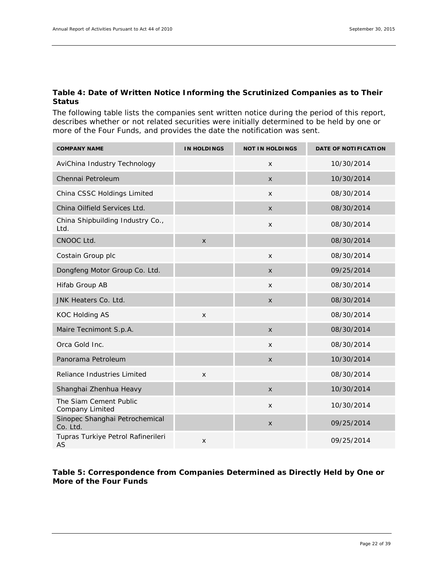### <span id="page-21-0"></span>**Table 4: Date of Written Notice Informing the Scrutinized Companies as to Their Status**

The following table lists the companies sent written notice during the period of this report, describes whether or not related securities were initially determined to be held by one or more of the Four Funds, and provides the date the notification was sent.

| <b>COMPANY NAME</b>                              | <b>IN HOLDINGS</b> | <b>NOT IN HOLDINGS</b> | DATE OF NOTIFICATION |
|--------------------------------------------------|--------------------|------------------------|----------------------|
| AviChina Industry Technology                     |                    | X                      | 10/30/2014           |
| Chennai Petroleum                                |                    | $\pmb{\times}$         | 10/30/2014           |
| China CSSC Holdings Limited                      |                    | X                      | 08/30/2014           |
| China Oilfield Services Ltd.                     |                    | X                      | 08/30/2014           |
| China Shipbuilding Industry Co.,<br>Ltd.         |                    | X                      | 08/30/2014           |
| CNOOC Ltd.                                       | $\pmb{\times}$     |                        | 08/30/2014           |
| Costain Group plc                                |                    | X                      | 08/30/2014           |
| Dongfeng Motor Group Co. Ltd.                    |                    | $\mathsf{X}$           | 09/25/2014           |
| Hifab Group AB                                   |                    | X                      | 08/30/2014           |
| JNK Heaters Co. Ltd.                             |                    | X                      | 08/30/2014           |
| <b>KOC Holding AS</b>                            | X                  |                        | 08/30/2014           |
| Maire Tecnimont S.p.A.                           |                    | $\mathsf{x}$           | 08/30/2014           |
| Orca Gold Inc.                                   |                    | X                      | 08/30/2014           |
| Panorama Petroleum                               |                    | $\mathsf{x}$           | 10/30/2014           |
| Reliance Industries Limited                      | $\pmb{\times}$     |                        | 08/30/2014           |
| Shanghai Zhenhua Heavy                           |                    | X                      | 10/30/2014           |
| The Siam Cement Public<br><b>Company Limited</b> |                    | X                      | 10/30/2014           |
| Sinopec Shanghai Petrochemical<br>Co. Ltd.       |                    | X                      | 09/25/2014           |
| Tupras Turkiye Petrol Rafinerileri<br><b>AS</b>  | X                  |                        | 09/25/2014           |

### <span id="page-21-2"></span><span id="page-21-1"></span>**Table 5: Correspondence from Companies Determined as Directly Held by One or More of the Four Funds**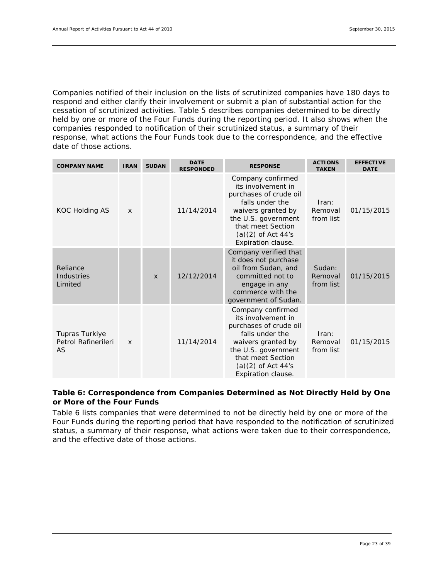Companies notified of their inclusion on the lists of scrutinized companies have 180 days to respond and either clarify their involvement or submit a plan of substantial action for the cessation of scrutinized activities. Table 5 describes companies determined to be directly held by one or more of the Four Funds during the reporting period. It also shows when the companies responded to notification of their scrutinized status, a summary of their response, what actions the Four Funds took due to the correspondence, and the effective date of those actions.

| <b>COMPANY NAME</b>                                | <b>IRAN</b>  | <b>SUDAN</b> | <b>DATE</b><br><b>RESPONDED</b> | <b>RESPONSE</b>                                                                                                                                                                                      | <b>ACTIONS</b><br><b>TAKEN</b> | <b>EFFECTIVE</b><br><b>DATE</b> |
|----------------------------------------------------|--------------|--------------|---------------------------------|------------------------------------------------------------------------------------------------------------------------------------------------------------------------------------------------------|--------------------------------|---------------------------------|
| <b>KOC Holding AS</b>                              | $\mathsf{x}$ |              | 11/14/2014                      | Company confirmed<br>its involvement in<br>purchases of crude oil<br>falls under the<br>waivers granted by<br>the U.S. government<br>that meet Section<br>$(a)(2)$ of Act 44's<br>Expiration clause. | Iran:<br>Removal<br>from list  | 01/15/2015                      |
| Reliance<br><b>Industries</b><br>Limited           |              | $\mathsf{x}$ | 12/12/2014                      | Company verified that<br>it does not purchase<br>oil from Sudan, and<br>committed not to<br>engage in any<br>commerce with the<br>government of Sudan.                                               | Sudan:<br>Removal<br>from list | 01/15/2015                      |
| <b>Tupras Turkiye</b><br>Petrol Rafinerileri<br>AS | $\mathsf{x}$ |              | 11/14/2014                      | Company confirmed<br>its involvement in<br>purchases of crude oil<br>falls under the<br>waivers granted by<br>the U.S. government<br>that meet Section<br>$(a)(2)$ of Act 44's<br>Expiration clause. | Iran:<br>Removal<br>from list  | 01/15/2015                      |

#### <span id="page-22-0"></span>**Table 6: Correspondence from Companies Determined as Not Directly Held by One or More of the Four Funds**

Table 6 lists companies that were determined to not be directly held by one or more of the Four Funds during the reporting period that have responded to the notification of scrutinized status, a summary of their response, what actions were taken due to their correspondence, and the effective date of those actions.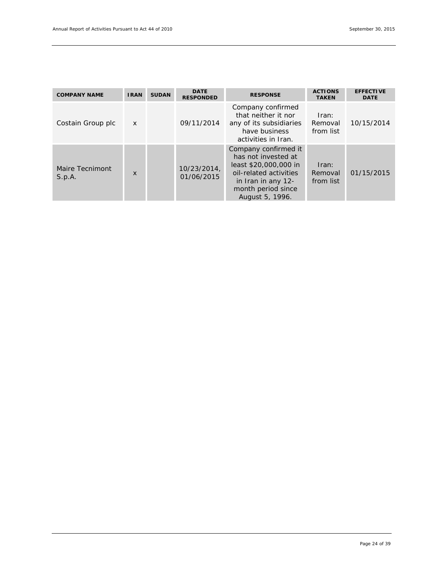| <b>COMPANY NAME</b>       | <b>IRAN</b> | <b>SUDAN</b> | <b>DATE</b><br><b>RESPONDED</b> | <b>RESPONSE</b>                                                                                                                                               | <b>ACTIONS</b><br><b>TAKEN</b> | <b>EFFECTIVE</b><br><b>DATE</b> |
|---------------------------|-------------|--------------|---------------------------------|---------------------------------------------------------------------------------------------------------------------------------------------------------------|--------------------------------|---------------------------------|
| Costain Group plc         | X           |              | 09/11/2014                      | Company confirmed<br>that neither it nor<br>any of its subsidiaries<br>have business<br>activities in Iran.                                                   | Iran:<br>Removal<br>from list  | 10/15/2014                      |
| Maire Tecnimont<br>S.p.A. | X           |              | 10/23/2014,<br>01/06/2015       | Company confirmed it<br>has not invested at<br>least \$20,000,000 in<br>oil-related activities<br>in Iran in any 12-<br>month period since<br>August 5, 1996. | Iran:<br>Removal<br>from list  | 01/15/2015                      |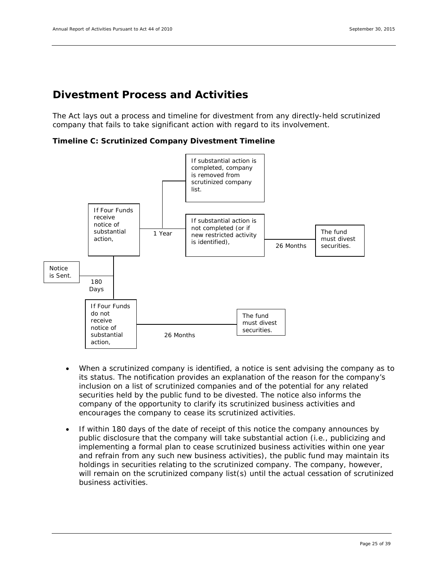## <span id="page-24-0"></span>**Divestment Process and Activities**

The Act lays out a process and timeline for divestment from any directly-held scrutinized company that fails to take significant action with regard to its involvement.

<span id="page-24-1"></span>**Timeline C: Scrutinized Company Divestment Timeline**



- When a scrutinized company is identified, a notice is sent advising the company as to its status. The notification provides an explanation of the reason for the company's inclusion on a list of scrutinized companies and of the potential for any related securities held by the public fund to be divested. The notice also informs the company of the opportunity to clarify its scrutinized business activities and encourages the company to cease its scrutinized activities.
- If within 180 days of the date of receipt of this notice the company announces by public disclosure that the company will take substantial action (*i.e*., publicizing and implementing a formal plan to cease scrutinized business activities within one year and refrain from any such new business activities), the public fund may maintain its holdings in securities relating to the scrutinized company. The company, however, will remain on the scrutinized company list(s) until the actual cessation of scrutinized business activities.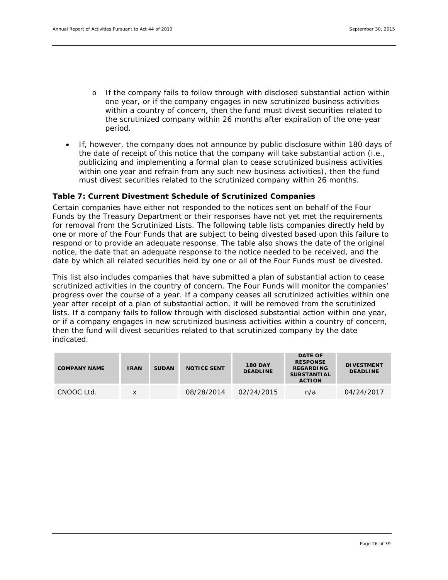- o If the company fails to follow through with disclosed substantial action within one year, or if the company engages in new scrutinized business activities within a country of concern, then the fund must divest securities related to the scrutinized company within 26 months after expiration of the one-year period.
- If, however, the company does not announce by public disclosure within 180 days of the date of receipt of this notice that the company will take substantial action (*i.e.*, publicizing and implementing a formal plan to cease scrutinized business activities within one year and refrain from any such new business activities), then the fund must divest securities related to the scrutinized company within 26 months.

#### <span id="page-25-0"></span>**Table 7: Current Divestment Schedule of Scrutinized Companies**

Certain companies have either not responded to the notices sent on behalf of the Four Funds by the Treasury Department or their responses have not yet met the requirements for removal from the Scrutinized Lists. The following table lists companies directly held by one or more of the Four Funds that are subject to being divested based upon this failure to respond or to provide an adequate response. The table also shows the date of the original notice, the date that an adequate response to the notice needed to be received, and the date by which all related securities held by one or all of the Four Funds must be divested.

This list also includes companies that have submitted a plan of substantial action to cease scrutinized activities in the country of concern. The Four Funds will monitor the companies' progress over the course of a year. If a company ceases all scrutinized activities within one year after receipt of a plan of substantial action, it will be removed from the scrutinized lists. If a company fails to follow through with disclosed substantial action within one year, or if a company engages in new scrutinized business activities within a country of concern, then the fund will divest securities related to that scrutinized company by the date indicated.

| <b>COMPANY NAME</b> | <b>IRAN</b> | <b>SUDAN</b> | <b>NOTICE SENT</b> | <b>180 DAY</b><br><b>DEADLINE</b> | <b>DATE OF</b><br><b>RESPONSE</b><br><b>REGARDING</b><br><b>SUBSTANTIAL</b><br><b>ACTION</b> | <b>DIVESTMENT</b><br><b>DEADLINE</b> |
|---------------------|-------------|--------------|--------------------|-----------------------------------|----------------------------------------------------------------------------------------------|--------------------------------------|
| CNOOC Ltd.          | x           |              | 08/28/2014         | 02/24/2015                        | n/a                                                                                          | 04/24/2017                           |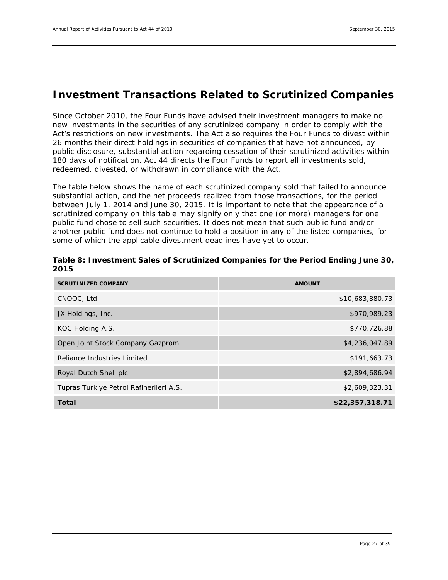## <span id="page-26-0"></span>**Investment Transactions Related to Scrutinized Companies**

Since October 2010, the Four Funds have advised their investment managers to make no new investments in the securities of any scrutinized company in order to comply with the Act's restrictions on new investments. The Act also requires the Four Funds to divest within 26 months their direct holdings in securities of companies that have not announced, by public disclosure, substantial action regarding cessation of their scrutinized activities within 180 days of notification. Act 44 directs the Four Funds to report all investments sold, redeemed, divested, or withdrawn in compliance with the Act.

The table below shows the name of each scrutinized company sold that failed to announce substantial action, and the net proceeds realized from those transactions, for the period between July 1, 2014 and June 30, 2015. It is important to note that the appearance of a scrutinized company on this table may signify only that one (or more) managers for one public fund chose to sell such securities. It does not mean that such public fund and/or another public fund does not continue to hold a position in any of the listed companies, for some of which the applicable divestment deadlines have yet to occur.

<span id="page-26-1"></span>

| Table 8: Investment Sales of Scrutinized Companies for the Period Ending June 30, |  |
|-----------------------------------------------------------------------------------|--|
| 2015                                                                              |  |

| <b>SCRUTINIZED COMPANY</b>              | <b>AMOUNT</b>   |
|-----------------------------------------|-----------------|
| CNOOC, Ltd.                             | \$10,683,880.73 |
| JX Holdings, Inc.                       | \$970,989.23    |
| KOC Holding A.S.                        | \$770,726.88    |
| Open Joint Stock Company Gazprom        | \$4,236,047.89  |
| Reliance Industries Limited             | \$191,663.73    |
| Royal Dutch Shell plc                   | \$2,894,686.94  |
| Tupras Turkiye Petrol Rafinerileri A.S. | \$2,609,323.31  |
| Total                                   | \$22,357,318.71 |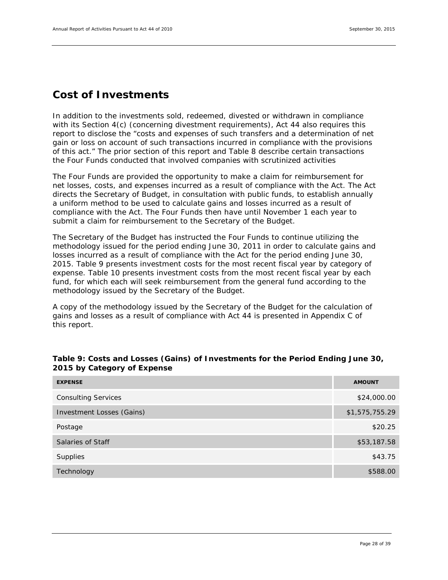## <span id="page-27-0"></span>**Cost of Investments**

In addition to the investments sold, redeemed, divested or withdrawn in compliance with its Section 4(c) (concerning divestment requirements), Act 44 also requires this report to disclose the "costs and expenses of such transfers and a determination of net gain or loss on account of such transactions incurred in compliance with the provisions of this act." The prior section of this report and Table 8 describe certain transactions the Four Funds conducted that involved companies with scrutinized activities

The Four Funds are provided the opportunity to make a claim for reimbursement for net losses, costs, and expenses incurred as a result of compliance with the Act. The Act directs the Secretary of Budget, in consultation with public funds, to establish annually a uniform method to be used to calculate gains and losses incurred as a result of compliance with the Act. The Four Funds then have until November 1 each year to submit a claim for reimbursement to the Secretary of the Budget.

The Secretary of the Budget has instructed the Four Funds to continue utilizing the methodology issued for the period ending June 30, 2011 in order to calculate gains and losses incurred as a result of compliance with the Act for the period ending June 30, 2015. Table 9 presents investment costs for the most recent fiscal year by category of expense. Table 10 presents investment costs from the most recent fiscal year by each fund, for which each will seek reimbursement from the general fund according to the methodology issued by the Secretary of the Budget.

A copy of the methodology issued by the Secretary of the Budget for the calculation of gains and losses as a result of compliance with Act 44 is presented in Appendix C of this report.

| <b>EXPENSE</b>             | <b>AMOUNT</b>  |
|----------------------------|----------------|
| <b>Consulting Services</b> | \$24,000.00    |
| Investment Losses (Gains)  | \$1,575,755.29 |
| Postage                    | \$20.25        |
| Salaries of Staff          | \$53,187.58    |
| Supplies                   | \$43.75        |
| Technology                 | \$588.00       |

#### <span id="page-27-1"></span>**Table 9: Costs and Losses (Gains) of Investments for the Period Ending June 30, 2015 by Category of Expense**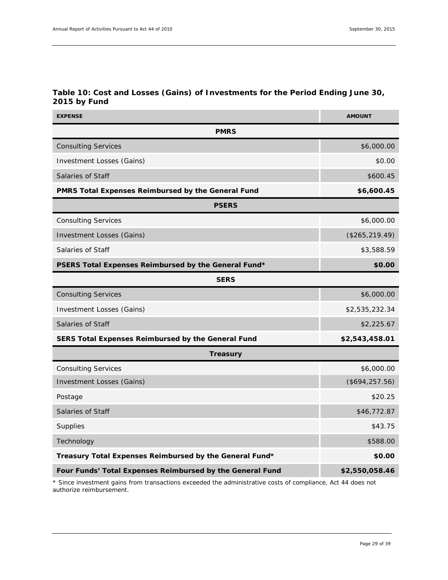| <b>EXPENSE</b>                                            | <b>AMOUNT</b>   |  |  |  |  |
|-----------------------------------------------------------|-----------------|--|--|--|--|
| <b>PMRS</b>                                               |                 |  |  |  |  |
| <b>Consulting Services</b>                                | \$6,000.00      |  |  |  |  |
| Investment Losses (Gains)                                 | \$0.00          |  |  |  |  |
| <b>Salaries of Staff</b>                                  | \$600.45        |  |  |  |  |
| PMRS Total Expenses Reimbursed by the General Fund        | \$6,600.45      |  |  |  |  |
| <b>PSERS</b>                                              |                 |  |  |  |  |
| <b>Consulting Services</b>                                | \$6,000.00      |  |  |  |  |
| <b>Investment Losses (Gains)</b>                          | (\$265, 219.49) |  |  |  |  |
| Salaries of Staff                                         | \$3,588.59      |  |  |  |  |
| PSERS Total Expenses Reimbursed by the General Fund*      | \$0.00          |  |  |  |  |
| <b>SERS</b>                                               |                 |  |  |  |  |
| <b>Consulting Services</b>                                | \$6,000.00      |  |  |  |  |
| Investment Losses (Gains)                                 | \$2,535,232.34  |  |  |  |  |
| Salaries of Staff                                         | \$2,225.67      |  |  |  |  |
| SERS Total Expenses Reimbursed by the General Fund        | \$2,543,458.01  |  |  |  |  |
| <b>Treasury</b>                                           |                 |  |  |  |  |
| <b>Consulting Services</b>                                | \$6,000.00      |  |  |  |  |
| <b>Investment Losses (Gains)</b>                          | (\$694, 257.56) |  |  |  |  |
| Postage                                                   | \$20.25         |  |  |  |  |
| Salaries of Staff                                         | \$46,772.87     |  |  |  |  |
| Supplies                                                  | \$43.75         |  |  |  |  |
| Technology                                                | \$588.00        |  |  |  |  |
| Treasury Total Expenses Reimbursed by the General Fund*   | \$0.00          |  |  |  |  |
| Four Funds' Total Expenses Reimbursed by the General Fund | \$2,550,058.46  |  |  |  |  |

### <span id="page-28-0"></span>**Table 10: Cost and Losses (Gains) of Investments for the Period Ending June 30, 2015 by Fund**

\* Since investment gains from transactions exceeded the administrative costs of compliance, Act 44 does not authorize reimbursement.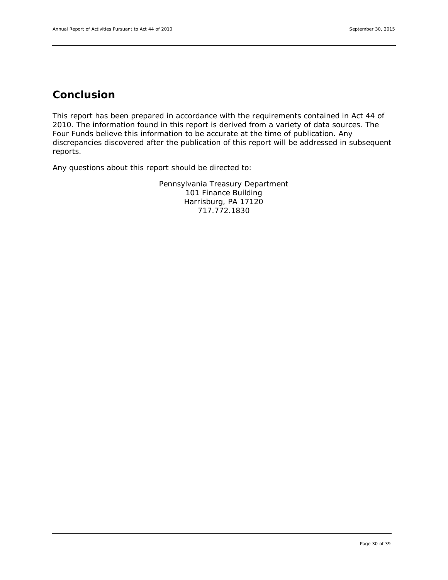# <span id="page-29-0"></span>**Conclusion**

This report has been prepared in accordance with the requirements contained in Act 44 of 2010. The information found in this report is derived from a variety of data sources. The Four Funds believe this information to be accurate at the time of publication. Any discrepancies discovered after the publication of this report will be addressed in subsequent reports.

Any questions about this report should be directed to:

Pennsylvania Treasury Department 101 Finance Building Harrisburg, PA 17120 717.772.1830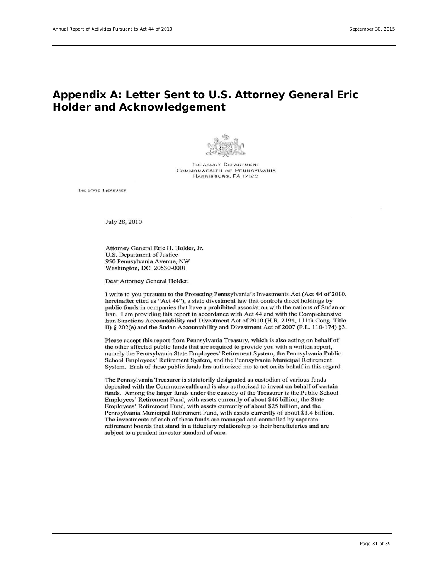# <span id="page-30-0"></span>**Appendix A: Letter Sent to U.S. Attorney General Eric Holder and Acknowledgement**



TREASURY DEPARTMENT COMMONWEALTH OF PENNSYLVANIA HARRISBURG, PA 17120

THE STATE TREASURER

July 28, 2010

Attorney General Eric H. Holder, Jr. U.S. Department of Justice 950 Pennsylvania Avenue, NW Washington, DC 20530-0001

Dear Attorney General Holder:

I write to you pursuant to the Protecting Pennsylvania's Investments Act (Act 44 of 2010, hereinafter cited as "Act 44"), a state divestment law that controls direct holdings by public funds in companies that have a prohibited association with the nations of Sudan or Iran. I am providing this report in accordance with Act 44 and with the Comprehensive Iran Sanctions Accountability and Divestment Act of 2010 (H.R. 2194, 111th Cong. Title II) § 202(e) and the Sudan Accountability and Divestment Act of 2007 (P.L. 110-174) §3.

Please accept this report from Pennsylvania Treasury, which is also acting on behalf of the other affected public funds that are required to provide you with a written report, namely the Pennsylvania State Employees' Retirement System, the Pennsylvania Public School Employees' Retirement System, and the Pennsylvania Municipal Retirement System. Each of these public funds has authorized me to act on its behalf in this regard.

The Pennsylvania Treasurer is statutorily designated as custodian of various funds deposited with the Commonwealth and is also authorized to invest on behalf of certain funds. Among the larger funds under the custody of the Treasurer is the Public School Employees' Retirement Fund, with assets currently of about \$46 billion, the State Employees' Retirement Fund, with assets currently of about \$25 billion, and the Pennsylvania Municipal Retirement Fund, with assets currently of about \$1.4 billion. The investments of each of these funds are managed and controlled by separate retirement boards that stand in a fiduciary relationship to their beneficiaries and are subject to a prudent investor standard of care.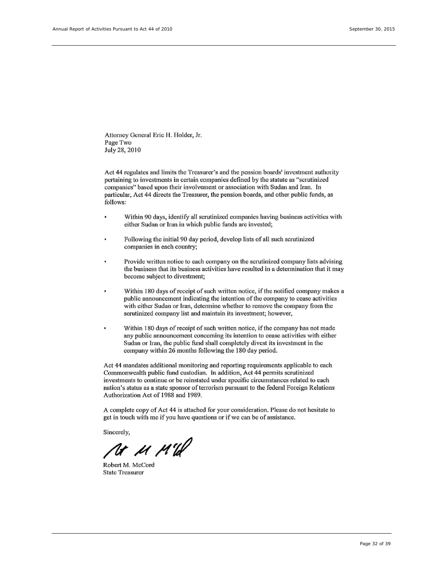Attorney General Eric H. Holder, Jr. Page Two July 28, 2010

Act 44 regulates and limits the Treasurer's and the pension boards' investment authority pertaining to investments in certain companies defined by the statute as "scrutinized" companies" based upon their involvement or association with Sudan and Iran. In particular, Act 44 directs the Treasurer, the pension boards, and other public funds, as follows:

- Within 90 days, identify all scrutinized companies having business activities with either Sudan or Iran in which public funds are invested;
- Following the initial 90 day period, develop lists of all such scrutinized companies in each country;
- Provide written notice to each company on the scrutinized company lists advising the business that its business activities have resulted in a determination that it may become subject to divestment;
- Within 180 days of receipt of such written notice, if the notified company makes a public announcement indicating the intention of the company to cease activities with either Sudan or Iran, determine whether to remove the company from the scrutinized company list and maintain its investment; however,
- Within 180 days of receipt of such written notice, if the company has not made any public announcement concerning its intention to cease activities with either Sudan or Iran, the public fund shall completely divest its investment in the company within 26 months following the 180 day period.

Act 44 mandates additional monitoring and reporting requirements applicable to each Commonwealth public fund custodian. In addition, Act 44 permits scrutinized investments to continue or be reinstated under specific circumstances related to each nation's status as a state sponsor of terrorism pursuant to the federal Foreign Relations Authorization Act of 1988 and 1989.

A complete copy of Act 44 is attached for your consideration. Please do not hesitate to get in touch with me if you have questions or if we can be of assistance.

Sincerely,

 $u$   $\mu$   $u^{\prime}$ 

Robert M. McCord **State Treasurer**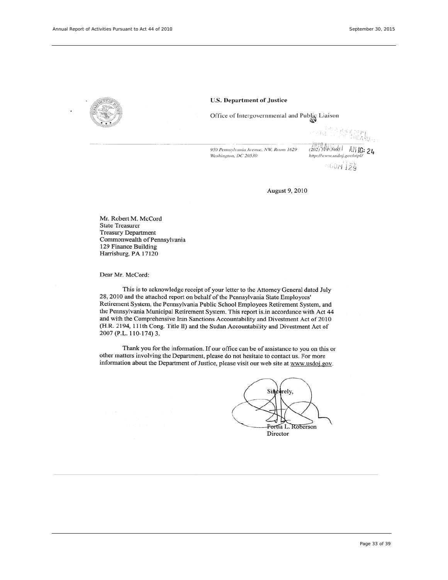$(202)$  514-3465 | AM 10: 24

http://www.usdoj.gov/oipl ≈00M129



#### **U.S. Department of Justice**

Office of Intergovernmental and Public Liaison

950 Pennsylvania Avenue, NW, Room 1629 Washington, DC 20530

August 9, 2010

Mr. Robert M. McCord State Treasurer **Treasury Department** Commonwealth of Pennsylvania 129 Finance Building Harrisburg, PA 17120

Dear Mr. McCord:

This is to acknowledge receipt of your letter to the Attorney General dated July 28, 2010 and the attached report on behalf of the Pennsylvania State Employees' Retirement System, the Pennsylvania Public School Employees Retirement System, and the Pennsylvania Municipal Retirement System. This report is in accordance with Act 44 and with the Comprehensive Iran Sanctions Accountability and Divestment Act of 2010 (H.R. 2194, 111th Cong. Title II) and the Sudan Accountability and Divestment Act of 2007 (P.L. 110-174) 3.

Thank you for the information. If our office can be of assistance to you on this or other matters involving the Department, please do not hesitate to contact us. For more information about the Department of Justice, please visit our web site at www.usdoj.gov.

Sim :derely, Portia L. Roberson Director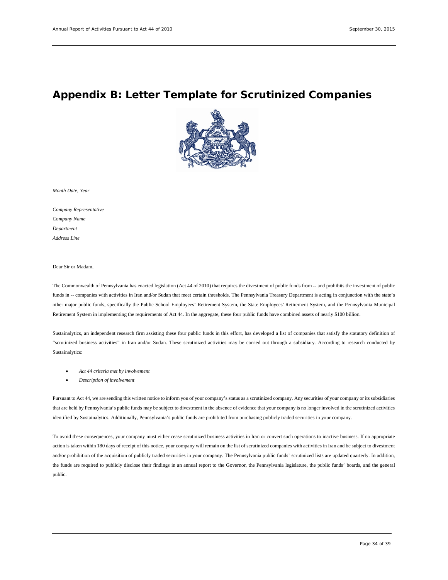# <span id="page-33-0"></span>**Appendix B: Letter Template for Scrutinized Companies**



*Month Date, Year*

*Company Representative Company Name Department Address Line*

Dear Sir or Madam,

The Commonwealth of Pennsylvania has enacted legislation (Act 44 of 2010) that requires the divestment of public funds from -- and prohibits the investment of public funds in -- companies with activities in Iran and/or Sudan that meet certain thresholds. The Pennsylvania Treasury Department is acting in conjunction with the state's other major public funds, specifically the Public School Employees' Retirement System, the State Employees' Retirement System, and the Pennsylvania Municipal Retirement System in implementing the requirements of Act 44. In the aggregate, these four public funds have combined assets of nearly \$100 billion.

Sustainalytics, an independent research firm assisting these four public funds in this effort, has developed a list of companies that satisfy the statutory definition of "scrutinized business activities" in Iran and/or Sudan. These scrutinized activities may be carried out through a subsidiary. According to research conducted by Sustainalytics:

- *Act 44 criteria met by involvement*
- *Description of involvement*

Pursuant to Act 44, we are sending this written notice to inform you of your company's status as a scrutinized company. Any securities of your company or its subsidiaries that are held by Pennsylvania's public funds may be subject to divestment in the absence of evidence that your company is no longer involved in the scrutinized activities identified by Sustainalytics. Additionally, Pennsylvania's public funds are prohibited from purchasing publicly traded securities in your company.

To avoid these consequences, your company must either cease scrutinized business activities in Iran or convert such operations to inactive business. If no appropriate action is taken within 180 days of receipt of this notice, your company will remain on the list of scrutinized companies with activities in Iran and be subject to divestment and/or prohibition of the acquisition of publicly traded securities in your company. The Pennsylvania public funds' scrutinized lists are updated quarterly. In addition, the funds are required to publicly disclose their findings in an annual report to the Governor, the Pennsylvania legislature, the public funds' boards, and the general public.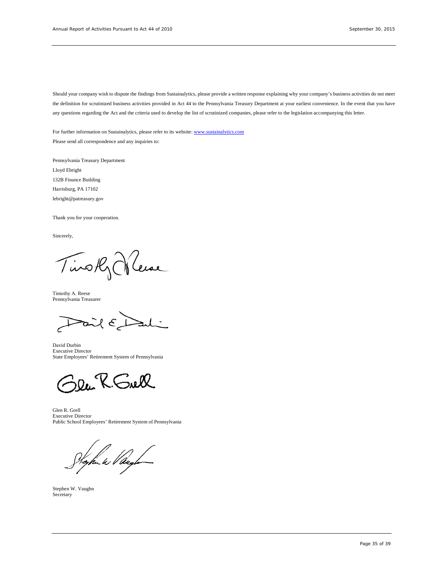Should your company wish to dispute the findings from Sustainalytics, please provide a written response explaining why your company's business activities do not meet the definition for scrutinized business activities provided in Act 44 to the Pennsylvania Treasury Department at your earliest convenience. In the event that you have any questions regarding the Act and the criteria used to develop the list of scrutinized companies, please refer to the legislation accompanying this letter.

For further information on Sustainalytics, please refer to its website[: www.sustainalytics.com](http://www.sustainalytics.com/) Please send all correspondence and any inquiries to:

Pennsylvania Treasury Department Lloyd Ebright 132B Finance Building Harrisburg, PA 17102 lebright@patreasury.gov

Thank you for your cooperation.

Sincerely,

Tinoky Werse

Timothy A. Reese Pennsylvania Treasurer

 $\sum_{\alpha\in\mathcal{C}}\epsilon$  $\geq l$ .

David Durbin Executive Director State Employees' Retirement System of Pennsylvania

Jean R. Gall

Glen R. Grell Executive Director Public School Employees' Retirement System of Pennsylvania

Jegha u Vangle

Stephen W. Vaughn **Secretary**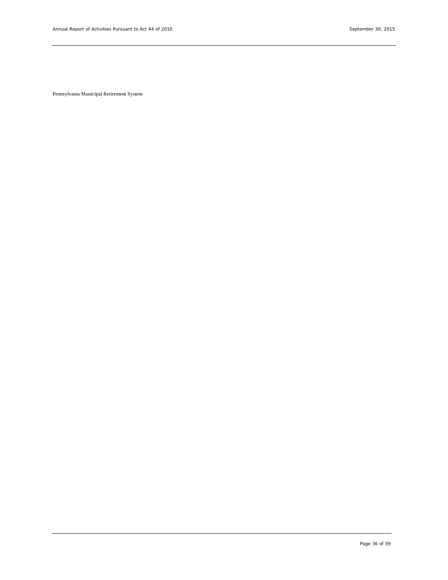Pennsylvania Municipal Retirement System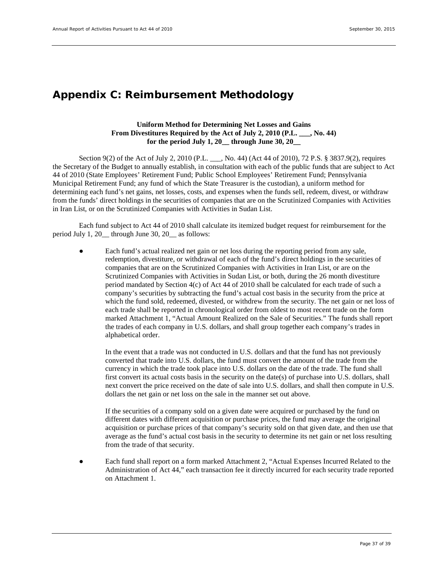# <span id="page-36-0"></span>**Appendix C: Reimbursement Methodology**

#### **Uniform Method for Determining Net Losses and Gains From Divestitures Required by the Act of July 2, 2010 (P.L. \_\_\_, No. 44) for the period July 1, 20\_\_ through June 30, 20\_\_**

Section 9(2) of the Act of July 2, 2010 (P.L. \_\_\_, No. 44) (Act 44 of 2010), 72 P.S. § 3837.9(2), requires the Secretary of the Budget to annually establish, in consultation with each of the public funds that are subject to Act 44 of 2010 (State Employees' Retirement Fund; Public School Employees' Retirement Fund; Pennsylvania Municipal Retirement Fund; any fund of which the State Treasurer is the custodian), a uniform method for determining each fund's net gains, net losses, costs, and expenses when the funds sell, redeem, divest, or withdraw from the funds' direct holdings in the securities of companies that are on the Scrutinized Companies with Activities in Iran List, or on the Scrutinized Companies with Activities in Sudan List.

Each fund subject to Act 44 of 2010 shall calculate its itemized budget request for reimbursement for the period July 1, 20\_\_ through June 30, 20\_\_ as follows:

● Each fund's actual realized net gain or net loss during the reporting period from any sale, redemption, divestiture, or withdrawal of each of the fund's direct holdings in the securities of companies that are on the Scrutinized Companies with Activities in Iran List, or are on the Scrutinized Companies with Activities in Sudan List, or both, during the 26 month divestiture period mandated by Section 4(c) of Act 44 of 2010 shall be calculated for each trade of such a company's securities by subtracting the fund's actual cost basis in the security from the price at which the fund sold, redeemed, divested, or withdrew from the security. The net gain or net loss of each trade shall be reported in chronological order from oldest to most recent trade on the form marked Attachment 1, "Actual Amount Realized on the Sale of Securities." The funds shall report the trades of each company in U.S. dollars, and shall group together each company's trades in alphabetical order.

In the event that a trade was not conducted in U.S. dollars and that the fund has not previously converted that trade into U.S. dollars, the fund must convert the amount of the trade from the currency in which the trade took place into U.S. dollars on the date of the trade. The fund shall first convert its actual costs basis in the security on the date(s) of purchase into U.S. dollars, shall next convert the price received on the date of sale into U.S. dollars, and shall then compute in U.S. dollars the net gain or net loss on the sale in the manner set out above.

If the securities of a company sold on a given date were acquired or purchased by the fund on different dates with different acquisition or purchase prices, the fund may average the original acquisition or purchase prices of that company's security sold on that given date, and then use that average as the fund's actual cost basis in the security to determine its net gain or net loss resulting from the trade of that security.

Each fund shall report on a form marked Attachment 2, "Actual Expenses Incurred Related to the Administration of Act 44," each transaction fee it directly incurred for each security trade reported on Attachment 1.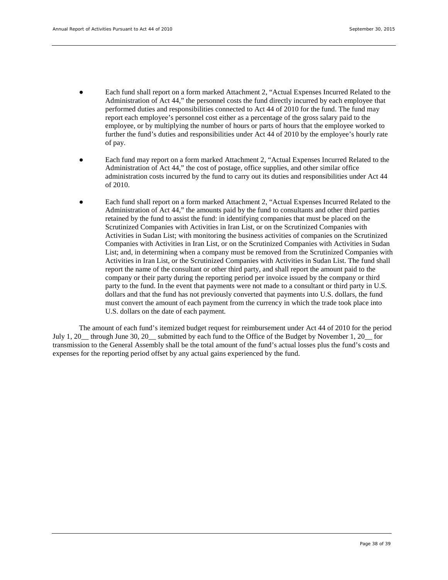- Each fund shall report on a form marked Attachment 2, "Actual Expenses Incurred Related to the Administration of Act 44," the personnel costs the fund directly incurred by each employee that performed duties and responsibilities connected to Act 44 of 2010 for the fund. The fund may report each employee's personnel cost either as a percentage of the gross salary paid to the employee, or by multiplying the number of hours or parts of hours that the employee worked to further the fund's duties and responsibilities under Act 44 of 2010 by the employee's hourly rate of pay.
- Each fund may report on a form marked Attachment 2, "Actual Expenses Incurred Related to the Administration of Act 44," the cost of postage, office supplies, and other similar office administration costs incurred by the fund to carry out its duties and responsibilities under Act 44 of 2010.
- Each fund shall report on a form marked Attachment 2, "Actual Expenses Incurred Related to the Administration of Act 44," the amounts paid by the fund to consultants and other third parties retained by the fund to assist the fund: in identifying companies that must be placed on the Scrutinized Companies with Activities in Iran List, or on the Scrutinized Companies with Activities in Sudan List; with monitoring the business activities of companies on the Scrutinized Companies with Activities in Iran List, or on the Scrutinized Companies with Activities in Sudan List; and, in determining when a company must be removed from the Scrutinized Companies with Activities in Iran List, or the Scrutinized Companies with Activities in Sudan List. The fund shall report the name of the consultant or other third party, and shall report the amount paid to the company or their party during the reporting period per invoice issued by the company or third party to the fund. In the event that payments were not made to a consultant or third party in U.S. dollars and that the fund has not previously converted that payments into U.S. dollars, the fund must convert the amount of each payment from the currency in which the trade took place into U.S. dollars on the date of each payment.

The amount of each fund's itemized budget request for reimbursement under Act 44 of 2010 for the period July 1, 20\_\_ through June 30, 20\_\_ submitted by each fund to the Office of the Budget by November 1, 20\_\_ for transmission to the General Assembly shall be the total amount of the fund's actual losses plus the fund's costs and expenses for the reporting period offset by any actual gains experienced by the fund.